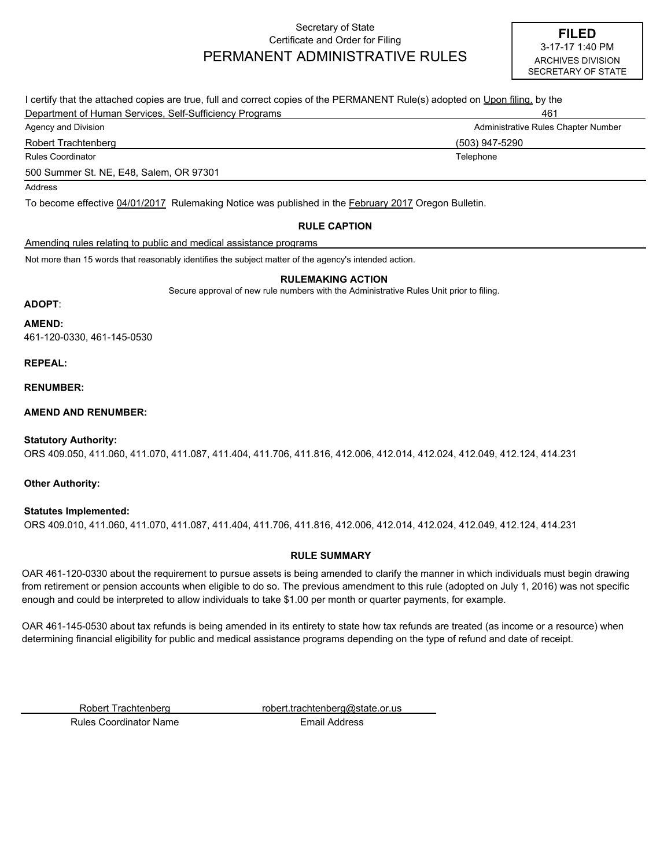## Secretary of State Certificate and Order for Filing PERMANENT ADMINISTRATIVE RULES

| I certify that the attached copies are true, full and correct copies of the PERMANENT Rule(s) adopted on Upon filing, by the |                                     |
|------------------------------------------------------------------------------------------------------------------------------|-------------------------------------|
| Department of Human Services, Self-Sufficiency Programs                                                                      | 461                                 |
| Agency and Division                                                                                                          | Administrative Rules Chapter Number |
| Robert Trachtenberg                                                                                                          | (503) 947-5290                      |
| <b>Rules Coordinator</b>                                                                                                     | Telephone                           |
| 500 Summer St. NE, E48, Salem, OR 97301                                                                                      |                                     |
| Address                                                                                                                      |                                     |
| To become effective 04/01/2017 Rulemaking Notice was published in the <b>February 2017</b> Oregon Bulletin.                  |                                     |
| <b>DULE CARTION</b>                                                                                                          |                                     |

#### **RULE CAPTION**

### Amending rules relating to public and medical assistance programs

Not more than 15 words that reasonably identifies the subject matter of the agency's intended action.

#### **RULEMAKING ACTION**

Secure approval of new rule numbers with the Administrative Rules Unit prior to filing.

#### **ADOPT**:

**AMEND:**

461-120-0330, 461-145-0530

#### **REPEAL:**

**RENUMBER:**

#### **AMEND AND RENUMBER:**

#### **Statutory Authority:**

ORS 409.050, 411.060, 411.070, 411.087, 411.404, 411.706, 411.816, 412.006, 412.014, 412.024, 412.049, 412.124, 414.231

#### **Other Authority:**

#### **Statutes Implemented:**

ORS 409.010, 411.060, 411.070, 411.087, 411.404, 411.706, 411.816, 412.006, 412.014, 412.024, 412.049, 412.124, 414.231

#### **RULE SUMMARY**

OAR 461-120-0330 about the requirement to pursue assets is being amended to clarify the manner in which individuals must begin drawing from retirement or pension accounts when eligible to do so. The previous amendment to this rule (adopted on July 1, 2016) was not specific enough and could be interpreted to allow individuals to take \$1.00 per month or quarter payments, for example.

OAR 461-145-0530 about tax refunds is being amended in its entirety to state how tax refunds are treated (as income or a resource) when determining financial eligibility for public and medical assistance programs depending on the type of refund and date of receipt.

Robert Trachtenberg robert.trachtenberg@state.or.us

Rules Coordinator Name **Email Address**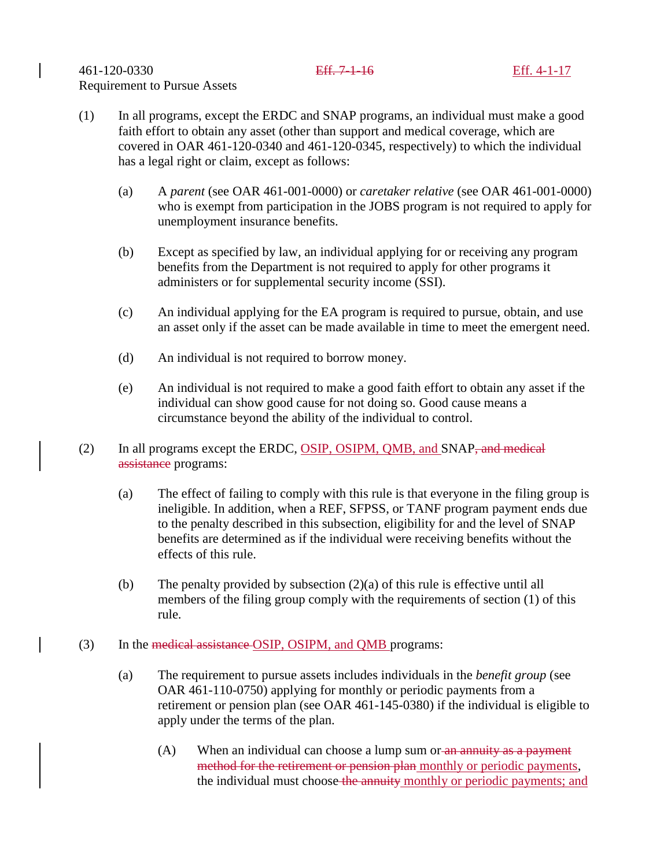- (1) In all programs, except the ERDC and SNAP programs, an individual must make a good faith effort to obtain any asset (other than support and medical coverage, which are covered in OAR 461-120-0340 and 461-120-0345, respectively) to which the individual has a legal right or claim, except as follows:
	- (a) A *parent* (see OAR 461-001-0000) or *caretaker relative* (see OAR 461-001-0000) who is exempt from participation in the JOBS program is not required to apply for unemployment insurance benefits.
	- (b) Except as specified by law, an individual applying for or receiving any program benefits from the Department is not required to apply for other programs it administers or for supplemental security income (SSI).
	- (c) An individual applying for the EA program is required to pursue, obtain, and use an asset only if the asset can be made available in time to meet the emergent need.
	- (d) An individual is not required to borrow money.
	- (e) An individual is not required to make a good faith effort to obtain any asset if the individual can show good cause for not doing so. Good cause means a circumstance beyond the ability of the individual to control.
- (2) In all programs except the ERDC, OSIP, OSIPM, QMB, and SNAP, and medical assistance programs:
	- (a) The effect of failing to comply with this rule is that everyone in the filing group is ineligible. In addition, when a REF, SFPSS, or TANF program payment ends due to the penalty described in this subsection, eligibility for and the level of SNAP benefits are determined as if the individual were receiving benefits without the effects of this rule.
	- (b) The penalty provided by subsection  $(2)(a)$  of this rule is effective until all members of the filing group comply with the requirements of section (1) of this rule.
- (3) In the medical assistance OSIP, OSIPM, and QMB programs:
	- (a) The requirement to pursue assets includes individuals in the *benefit group* (see OAR 461-110-0750) applying for monthly or periodic payments from a retirement or pension plan (see OAR 461-145-0380) if the individual is eligible to apply under the terms of the plan.
		- (A) When an individual can choose a lump sum or an annuity as a payment method for the retirement or pension plan monthly or periodic payments, the individual must choose the annuity monthly or periodic payments; and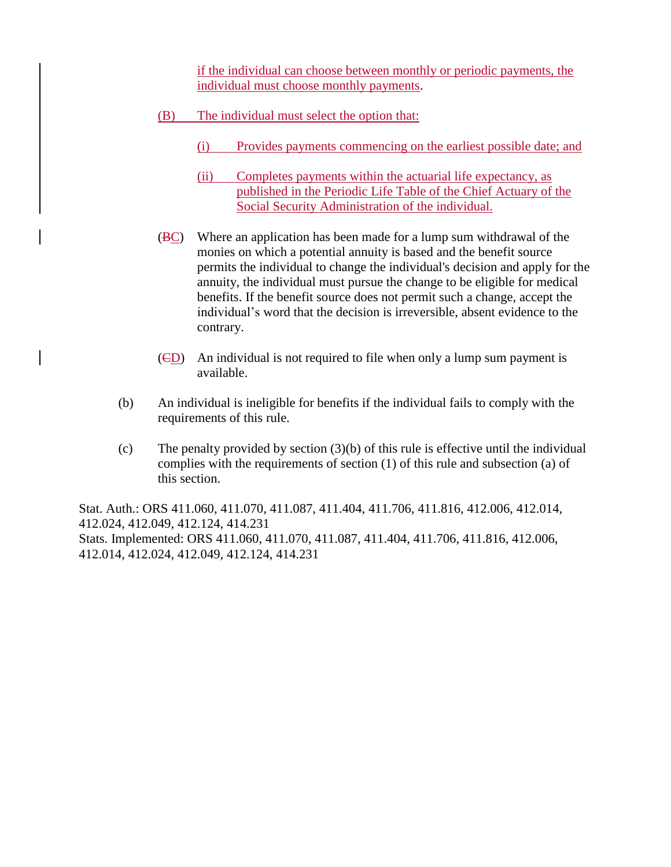if the individual can choose between monthly or periodic payments, the individual must choose monthly payments.

- (B) The individual must select the option that:
	- (i) Provides payments commencing on the earliest possible date; and
	- (ii) Completes payments within the actuarial life expectancy, as published in the Periodic Life Table of the Chief Actuary of the Social Security Administration of the individual.
- (BC) Where an application has been made for a lump sum withdrawal of the monies on which a potential annuity is based and the benefit source permits the individual to change the individual's decision and apply for the annuity, the individual must pursue the change to be eligible for medical benefits. If the benefit source does not permit such a change, accept the individual's word that the decision is irreversible, absent evidence to the contrary.
- (CD) An individual is not required to file when only a lump sum payment is available.
- (b) An individual is ineligible for benefits if the individual fails to comply with the requirements of this rule.
- (c) The penalty provided by section (3)(b) of this rule is effective until the individual complies with the requirements of section (1) of this rule and subsection (a) of this section.

Stat. Auth.: ORS 411.060, 411.070, 411.087, 411.404, 411.706, 411.816, 412.006, 412.014, 412.024, 412.049, 412.124, 414.231 Stats. Implemented: ORS 411.060, 411.070, 411.087, 411.404, 411.706, 411.816, 412.006, 412.014, 412.024, 412.049, 412.124, 414.231